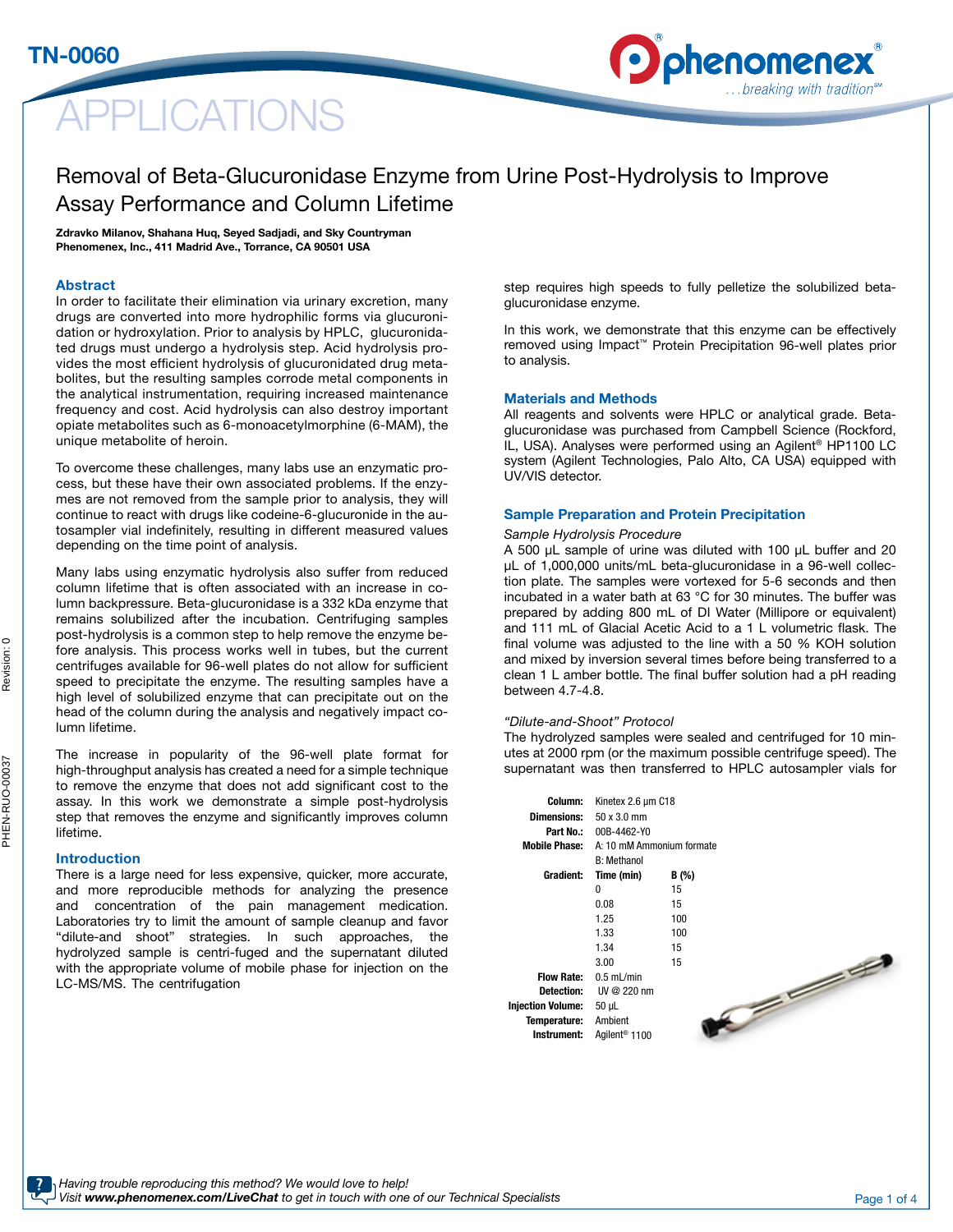# PLICATIONS



# Removal of Beta-Glucuronidase Enzyme from Urine Post-Hydrolysis to Improve Assay Performance and Column Lifetime

Zdravko Milanov, Shahana Huq, Seyed Sadjadi, and Sky Countryman Phenomenex, Inc., 411 Madrid Ave., Torrance, CA 90501 USA

## Abstract

TN-0060

In order to facilitate their elimination via urinary excretion, many drugs are converted into more hydrophilic forms via glucuronidation or hydroxylation. Prior to analysis by HPLC, glucuronidated drugs must undergo a hydrolysis step. Acid hydrolysis provides the most efficient hydrolysis of glucuronidated drug metabolites, but the resulting samples corrode metal components in the analytical instrumentation, requiring increased maintenance frequency and cost. Acid hydrolysis can also destroy important opiate metabolites such as 6-monoacetylmorphine (6-MAM), the unique metabolite of heroin.

To overcome these challenges, many labs use an enzymatic process, but these have their own associated problems. If the enzymes are not removed from the sample prior to analysis, they will continue to react with drugs like codeine-6-glucuronide in the autosampler vial indefinitely, resulting in different measured values depending on the time point of analysis.

Many labs using enzymatic hydrolysis also suffer from reduced column lifetime that is often associated with an increase in column backpressure. Beta-glucuronidase is a 332 kDa enzyme that remains solubilized after the incubation. Centrifuging samples post-hydrolysis is a common step to help remove the enzyme before analysis. This process works well in tubes, but the current centrifuges available for 96-well plates do not allow for sufficient speed to precipitate the enzyme. The resulting samples have a high level of solubilized enzyme that can precipitate out on the head of the column during the analysis and negatively impact column lifetime.

The increase in popularity of the 96-well plate format for high-throughput analysis has created a need for a simple technique to remove the enzyme that does not add significant cost to the assay. In this work we demonstrate a simple post-hydrolysis step that removes the enzyme and significantly improves column lifetime.

#### Introduction

There is a large need for less expensive, quicker, more accurate, and more reproducible methods for analyzing the presence and concentration of the pain management medication. Laboratories try to limit the amount of sample cleanup and favor "dilute-and shoot" strategies. In such approaches, the hydrolyzed sample is centri-fuged and the supernatant diluted with the appropriate volume of mobile phase for injection on the LC-MS/MS. The centrifugation

step requires high speeds to fully pelletize the solubilized betaglucuronidase enzyme.

In this work, we demonstrate that this enzyme can be effectively removed using Impact™ Protein Precipitation 96-well plates prior to analysis.

#### Materials and Methods

All reagents and solvents were HPLC or analytical grade. Betaglucuronidase was purchased from Campbell Science (Rockford, IL, USA). Analyses were performed using an Agilent® HP1100 LC system (Agilent Technologies, Palo Alto, CA USA) equipped with UV/VIS detector.

### Sample Preparation and Protein Precipitation

#### *Sample Hydrolysis Procedure*

A 500 μL sample of urine was diluted with 100 μL buffer and 20 μL of 1,000,000 units/mL beta-glucuronidase in a 96-well collection plate. The samples were vortexed for 5-6 seconds and then incubated in a water bath at 63 °C for 30 minutes. The buffer was prepared by adding 800 mL of DI Water (Millipore or equivalent) and 111 mL of Glacial Acetic Acid to a 1 L volumetric flask. The final volume was adjusted to the line with a 50 % KOH solution and mixed by inversion several times before being transferred to a clean 1 L amber bottle. The final buffer solution had a pH reading between 4.7-4.8.

#### *"Dilute-and-Shoot" Protocol*

The hydrolyzed samples were sealed and centrifuged for 10 minutes at 2000 rpm (or the maximum possible centrifuge speed). The supernatant was then transferred to HPLC autosampler vials for

| Column:                  | Kinetex 2.6 um C18        |       |  |  |  |
|--------------------------|---------------------------|-------|--|--|--|
| Dimensions:              | 50x30mm                   |       |  |  |  |
| Part No.:                | 00B-4462-Y0               |       |  |  |  |
| Mobile Phase:            | A: 10 mM Ammonium formate |       |  |  |  |
|                          | <b>B: Methanol</b>        |       |  |  |  |
| Gradient:                | Time (min)                | B (%) |  |  |  |
|                          | n                         | 15    |  |  |  |
|                          | 0.08                      | 15    |  |  |  |
|                          | 1.25                      | 100   |  |  |  |
|                          | 1.33                      | 100   |  |  |  |
|                          | 1.34                      | 15    |  |  |  |
|                          | 3.00                      | 15    |  |  |  |
| Flow Rate:               | $0.5$ mL/min              |       |  |  |  |
| <b>Detection:</b>        | $UV@220$ nm               |       |  |  |  |
| <b>Injection Volume:</b> | 50 µL                     |       |  |  |  |
| Temperature:             | Ambient                   |       |  |  |  |
| Instrument:              | Agilent <sup>®</sup> 1100 |       |  |  |  |



 $\circ$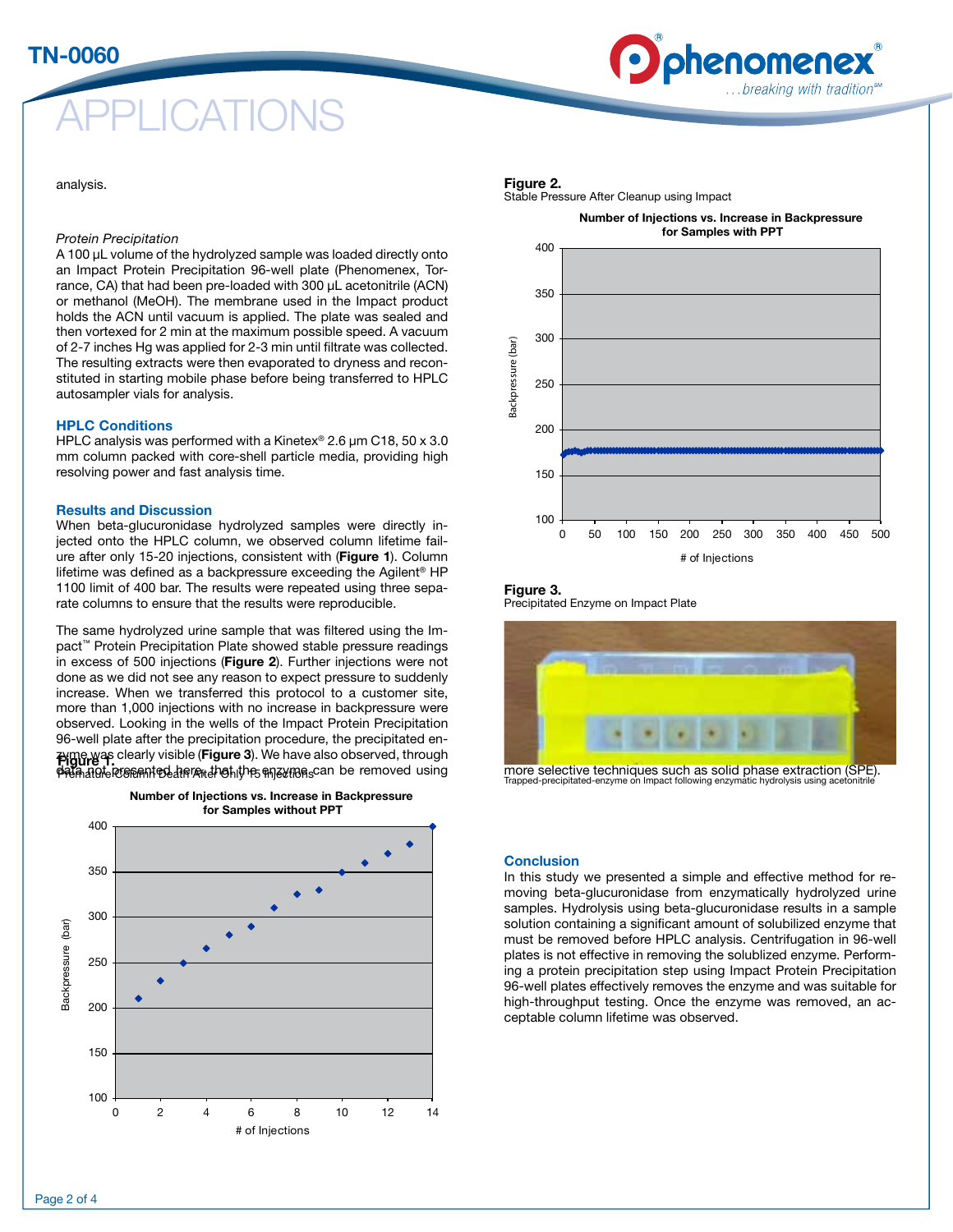# **ICATIONS**

### analysis.

# *Protein Precipitation*

A 100 μL volume of the hydrolyzed sample was loaded directly onto an Impact Protein Precipitation 96-well plate (Phenomenex, Torrance, CA) that had been pre-loaded with 300 μL acetonitrile (ACN) or methanol (MeOH). The membrane used in the Impact product holds the ACN until vacuum is applied. The plate was sealed and then vortexed for 2 min at the maximum possible speed. A vacuum of 2-7 inches Hg was applied for 2-3 min until filtrate was collected. The resulting extracts were then evaporated to dryness and reconstituted in starting mobile phase before being transferred to HPLC autosampler vials for analysis.

### HPLC Conditions

HPLC analysis was performed with a Kinetex® 2.6 μm C18, 50 x 3.0 mm column packed with core-shell particle media, providing high resolving power and fast analysis time.

## Results and Discussion

When beta-glucuronidase hydrolyzed samples were directly injected onto the HPLC column, we observed column lifetime failure after only 15-20 injections, consistent with (Figure 1). Column lifetime was defined as a backpressure exceeding the Agilent® HP 1100 limit of 400 bar. The results were repeated using three separate columns to ensure that the results were reproducible.

The same hydrolyzed urine sample that was filtered using the Impact™ Protein Precipitation Plate showed stable pressure readings in excess of 500 injections (Figure 2). Further injections were not done as we did not see any reason to expect pressure to suddenly increase. When we transferred this protocol to a customer site, more than 1,000 injections with no increase in backpressure were observed. Looking in the wells of the Impact Protein Precipitation 96-well plate after the precipitation procedure, the precipitated en-**Pigure**  $\frac{1}{2}$  clearly visible (**Figure 3**). We have also observed, through hatgle responted a read that the enzymens can be removed using





Figure 2.

Stable Pressure After Cleanup using Impact



phenomene

breaking with tradition. .

#### Figure 3. Precipitated Enzyme on Impact Plate



more selective techniques such as solid phase extraction (SPE). Trapped-precipitated-enzyme on Impact following enzymatic hydrolysis using ace

### **Conclusion**

In this study we presented a simple and effective method for removing beta-glucuronidase from enzymatically hydrolyzed urine samples. Hydrolysis using beta-glucuronidase results in a sample solution containing a significant amount of solubilized enzyme that must be removed before HPLC analysis. Centrifugation in 96-well plates is not effective in removing the solublized enzyme. Performing a protein precipitation step using Impact Protein Precipitation 96-well plates effectively removes the enzyme and was suitable for high-throughput testing. Once the enzyme was removed, an acceptable column lifetime was observed.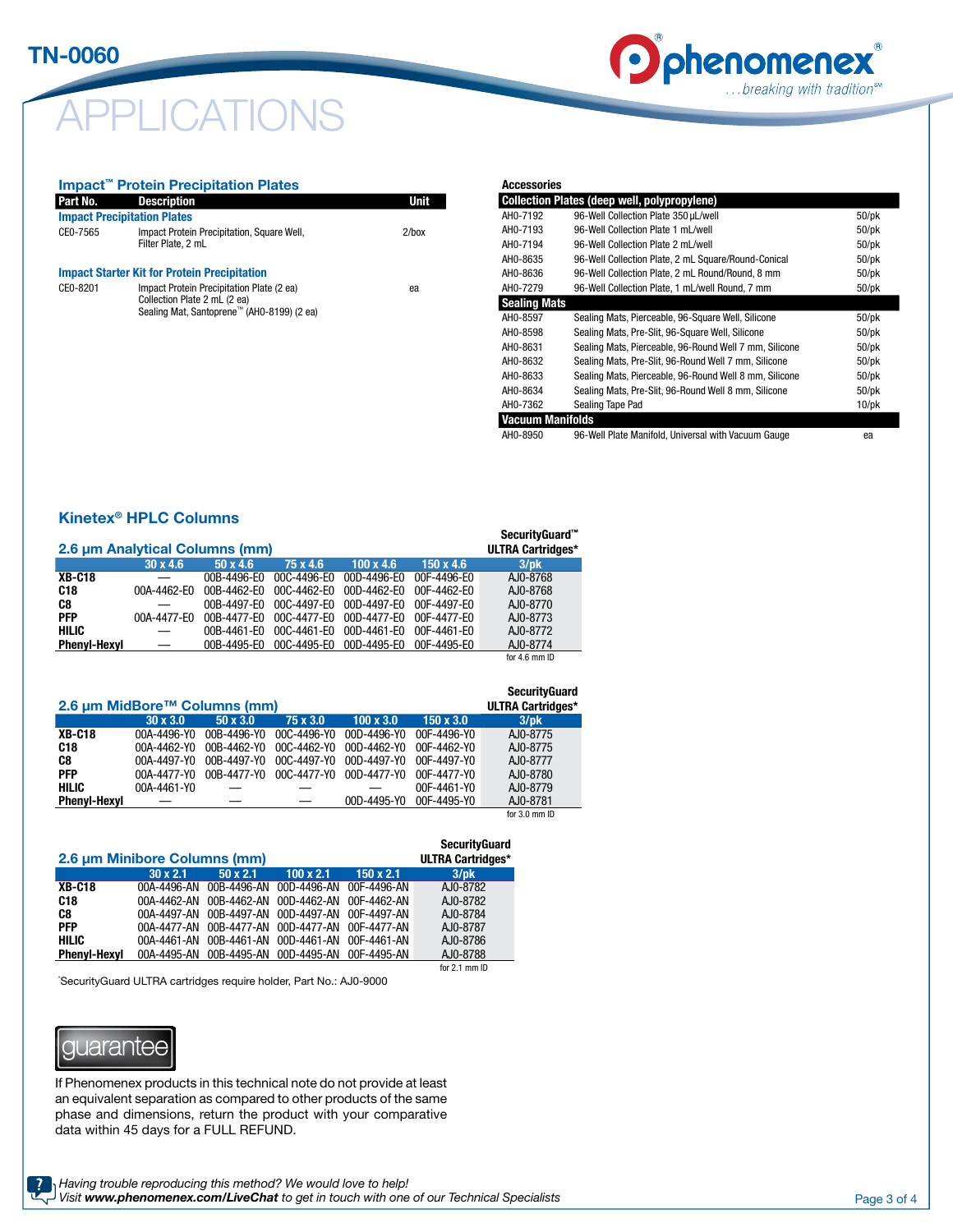# CATIONS



#### Impact™ Protein Precipitation Plates

| Part No.                           | <b>Description</b>                                                                                                      | <b>Unit</b> |
|------------------------------------|-------------------------------------------------------------------------------------------------------------------------|-------------|
| <b>Impact Precipitation Plates</b> |                                                                                                                         |             |
| CE0-7565                           | Impact Protein Precipitation, Square Well,<br>Filter Plate, 2 mL                                                        | $2$ /box    |
|                                    | <b>Impact Starter Kit for Protein Precipitation</b>                                                                     |             |
| CE0-8201                           | Impact Protein Precipitation Plate (2 ea)<br>Collection Plate 2 mL (2 ea)<br>Sealing Mat, Santoprene™ (AH0-8199) (2 ea) | ea          |
|                                    |                                                                                                                         |             |

| <b>Accessories</b>  |                                                        |             |
|---------------------|--------------------------------------------------------|-------------|
|                     | <b>Collection Plates (deep well, polypropylene)</b>    |             |
| AH0-7192            | 96-Well Collection Plate 350 µL/well                   | $50$ /p $k$ |
| AH0-7193            | 96-Well Collection Plate 1 mL/well                     | $50$ /p $k$ |
| AH0-7194            | 96-Well Collection Plate 2 mL/well                     | $50$ /p $k$ |
| AH0-8635            | 96-Well Collection Plate, 2 mL Square/Round-Conical    | $50$ /p $k$ |
| AH0-8636            | 96-Well Collection Plate, 2 mL Round/Round, 8 mm       | $50$ /pk    |
| AH0-7279            | 96-Well Collection Plate, 1 mL/well Round, 7 mm        | $50$ /pk    |
| <b>Sealing Mats</b> |                                                        |             |
| AH0-8597            | Sealing Mats, Pierceable, 96-Square Well, Silicone     | $50$ /p $k$ |
| AH0-8598            | Sealing Mats, Pre-Slit, 96-Square Well, Silicone       | $50$ /p $k$ |
| AH0-8631            | Sealing Mats, Pierceable, 96-Round Well 7 mm, Silicone | $50$ /p $k$ |
| AH0-8632            | Sealing Mats, Pre-Slit, 96-Round Well 7 mm, Silicone   | $50$ /p $k$ |
| AH0-8633            | Sealing Mats, Pierceable, 96-Round Well 8 mm, Silicone | $50$ /pk    |
| AH0-8634            | Sealing Mats, Pre-Slit, 96-Round Well 8 mm, Silicone   | $50$ /p $k$ |
| AH0-7362            | Sealing Tape Pad                                       | $10$ /pk    |
| Vacuum Manifolds    |                                                        |             |
| AH0-8950            | 96-Well Plate Manifold, Universal with Vacuum Gauge    | ea          |

# Kinetex® HPLC Columns

| 2.6 um Analytical Columns (mm) |                 |                 |             |                  | SecurityGuard <sup>™</sup><br><b>ULTRA Cartridges*</b> |               |
|--------------------------------|-----------------|-----------------|-------------|------------------|--------------------------------------------------------|---------------|
|                                | $30 \times 4.6$ | $50 \times 4.6$ | 75 x 4.6    | $100 \times 4.6$ | $150 \times 4.6$                                       | $3$ /pk       |
| <b>XB-C18</b>                  |                 | 00B-4496-E0     | 00C-4496-E0 | 00D-4496-E0      | 00F-4496-F0                                            | AJ0-8768      |
| C <sub>18</sub>                | 00A-4462-E0     | 00B-4462-E0     | 00C-4462-E0 | 00D-4462-E0      | 00F-4462-F0                                            | AJ0-8768      |
| C8                             |                 | 00B-4497-E0     | 00C-4497-E0 | 00D-4497-E0      | 00F-4497-F0                                            | AJ0-8770      |
| <b>PFP</b>                     | 00A-4477-E0     | $00B-4477-F0$   | 00C-4477-E0 | 00D-4477-E0      | 00F-4477-F0                                            | AJ0-8773      |
| <b>HILIC</b>                   |                 | 00B-4461-E0     | 00C-4461-E0 | 00D-4461-E0      | 00F-4461-E0                                            | AJ0-8772      |
| <b>Phenvl-Hexvl</b>            |                 | 00B-4495-E0     | 00C-4495-E0 | 00D-4495-E0      | 00F-4495-E0                                            | AJ0-8774      |
|                                |                 |                 |             |                  |                                                        | for 4.6 mm ID |

| 2.6 µm MidBore™ Columns (mm) |                 |                 |             |                  |                  | <b>SecurityGuard</b><br><b>ULTRA Cartridges*</b> |
|------------------------------|-----------------|-----------------|-------------|------------------|------------------|--------------------------------------------------|
|                              | $30 \times 3.0$ | $50 \times 3.0$ | 75 x 3.0    | $100 \times 3.0$ | $150 \times 3.0$ | $3$ /pk                                          |
| <b>XB-C18</b>                | 00A-4496-Y0     | 00B-4496-Y0     | 00C-4496-Y0 | 00D-4496-Y0      | 00F-4496-Y0      | AJ0-8775                                         |
| C18                          | 00A-4462-Y0     | 00B-4462-Y0     | 00C-4462-Y0 | 00D-4462-Y0      | 00F-4462-Y0      | AJ0-8775                                         |
| C8                           | 00A-4497-Y0     | 00B-4497-Y0     | 00C-4497-Y0 | 00D-4497-Y0      | 00F-4497-Y0      | AJ0-8777                                         |
| <b>PFP</b>                   | 00A-4477-Y0     | 00B-4477-Y0     | 00C-4477-Y0 | 00D-4477-Y0      | 00F-4477-Y0      | AJ0-8780                                         |
| <b>HILIC</b>                 | 00A-4461-Y0     |                 |             |                  | 00F-4461-Y0      | AJ0-8779                                         |
| <b>Phenvl-Hexvl</b>          |                 |                 |             | 00D-4495-Y0      | 00F-4495-Y0      | AJ0-8781                                         |
|                              |                 |                 |             |                  |                  | for 3.0 mm ID                                    |

|                              |                 |                 |                         |                  | <b>SecurityGuard</b>     |
|------------------------------|-----------------|-----------------|-------------------------|------------------|--------------------------|
| 2.6 µm Minibore Columns (mm) |                 |                 |                         |                  | <b>ULTRA Cartridges*</b> |
|                              | $30 \times 2.1$ | $50 \times 2.1$ | $100 \times 2.1$        | $150 \times 2.1$ | $3$ /pk                  |
| <b>XB-C18</b>                | 00A-4496-AN     | 00B-4496-AN     | 00D-4496-AN             | 00F-4496-AN      | AJ0-8782                 |
| C18                          | 00A-4462-AN     | 00B-4462-AN     | 00D-4462-AN             | 00F-4462-AN      | AJ0-8782                 |
| C8                           | 00A-4497-AN     |                 | 00B-4497-AN 00D-4497-AN | 00F-4497-AN      | AJ0-8784                 |
| <b>PFP</b>                   | 00A-4477-AN     | 00B-4477-AN     | 00D-4477-AN             | 00F-4477-AN      | AJ0-8787                 |
| <b>HILIC</b>                 | 00A-4461-AN     | 00B-4461-AN     | 00D-4461-AN             | 00F-4461-AN      | AJ0-8786                 |
| <b>Phenyl-Hexyl</b>          | 00A-4495-AN     |                 | 00B-4495-AN 00D-4495-AN | 00F-4495-AN      | AJ0-8788                 |
|                              |                 |                 |                         |                  | for $2.1 \text{ mm}$ ID  |

\* SecurityGuard ULTRA cartridges require holder, Part No.: AJ0-9000



If Phenomenex products in this technical note do not provide at least an equivalent separation as compared to other products of the same phase and dimensions, return the product with your comparative data within 45 days for a FULL REFUND.